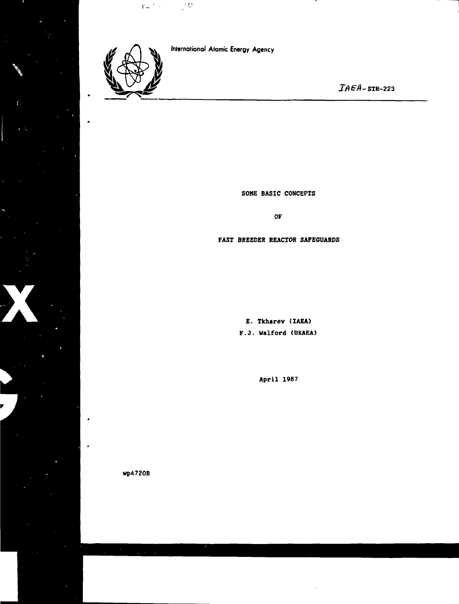

 $\label{eq:1} \chi_{\frac{\alpha}{2}}(t) = \frac{1}{\sqrt{2}} \sum_{i=1}^n \frac{1}{i!} \sum_{i=1}^n \frac{1}{i!} \sum_{i=1}^n \frac{1}{i!} \sum_{i=1}^n \frac{1}{i!} \sum_{i=1}^n \frac{1}{i!} \sum_{i=1}^n \frac{1}{i!} \sum_{i=1}^n \frac{1}{i!} \sum_{i=1}^n \frac{1}{i!} \sum_{i=1}^n \frac{1}{i!} \sum_{i=1}^n \frac{1}{i!} \sum_{i=1}^n \frac{1}{i!} \sum$ 

**{nternational Atomic Energy Agency**

 $IAEA$ -STR-223

**SOME BASIC CONCEPTS**

**OF**

# **FAST BREEDER REACTOR SAFEGUARDS**

**E. Tkbarev (IAEA) F.J. Walford (UKAEA)**

**April 1987**

**wp4720B**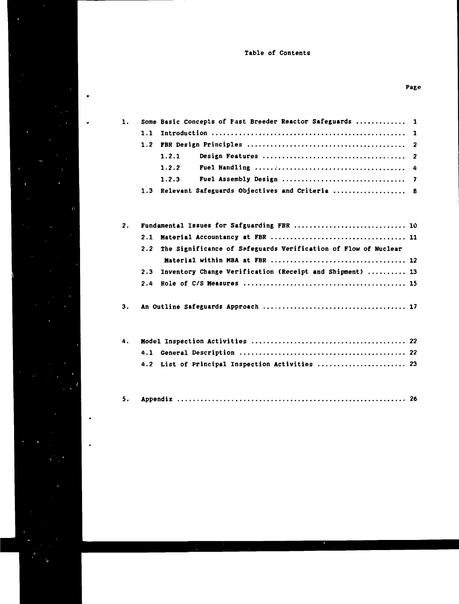# Table of Contents

| $\mathbf{1}$ . |                  | Some Basic Concepts of Fast Breeder Reactor Safeguards  1 |  |
|----------------|------------------|-----------------------------------------------------------|--|
|                |                  |                                                           |  |
|                | 1.2 <sub>1</sub> |                                                           |  |
|                |                  | 1.2.1                                                     |  |
|                |                  | 1.2.2                                                     |  |
|                |                  | 1.2.3                                                     |  |
|                |                  | 1.3 Relevant Safeguards Objectives and Criteria  8        |  |

| 2. | Fundamental Issues for Safguarding FBR  10                         |  |  |
|----|--------------------------------------------------------------------|--|--|
|    |                                                                    |  |  |
|    | 2.2 The Significance of Safeguards Verification of Flow of Nuclear |  |  |
|    |                                                                    |  |  |
|    | 2.3 Inventory Change Verification (Receipt and Shipment)  13       |  |  |
|    |                                                                    |  |  |
|    |                                                                    |  |  |
|    |                                                                    |  |  |

| 4.2 List of Principal Inspection Activities  23 |  |
|-------------------------------------------------|--|

|--|--|--|--|

 $\bullet$ 

 $\ddot{\phantom{0}}$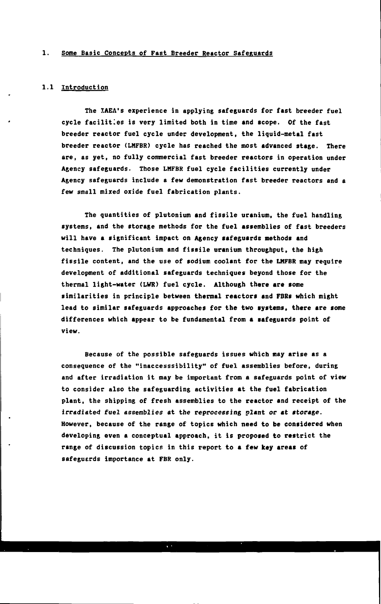# **1. Some Basic Concepts of Fast Breeder Reactor Safeguards**

## **1.1 Introduction**

**The IAEA's experience in applying safeguards for fast breeder fuel cycle facilities is very limited both in time and scope. Of the fast breeder reactor fuel cycle under development, the liquid-metal fast breeder reactor (LMFBR) cycle has reached the most advanced stage. There are, as yet, no fully commercial fast breeder reactors in operation under Agency safeguards. Those LMFBR fuel cycle facilities currently under Agency safeguards include a few demonstration fast breeder reactors and a few small mixed oxide fuel fabrication plants.**

**The quantities of plutonium and fissile uranium, the fuel handling systems, and the storage methods for the fuel assemblies of fast breeders will have a significant impact on Agency safeguards methods and techniques. The plutonium and fissile uranium throughput, the high fissile content, and the use of sodium coolant for the LMFBR may require development of additional safeguards techniques beyond those for the thermal light-water (LWR) fuel cycle. Although there are some similarities in principle between thermal reactors and FBRs which might lead to similar safeguards approaches for the two systems, there are some differences which appear to be fundamental from a safeguards point of view.**

**Because of the possible safeguards issues which may arise as a consequence of the "inaccesssibility" of fuel assemblies before, during and after irradiation it may be important from a safeguards point of view to consider also the safeguarding activities at the fuel fabrication plant, the shipping of fresh assemblies to the reactor and receipt of the irradiated fuel assemblies at the reprocessing plant or at storage. However, because of the range of topics which need to be considered when developing even a conceptual approach, it is proposed to restrict the range of discussion topics in this report to a few key areas of safeguerds importance at FBR only.**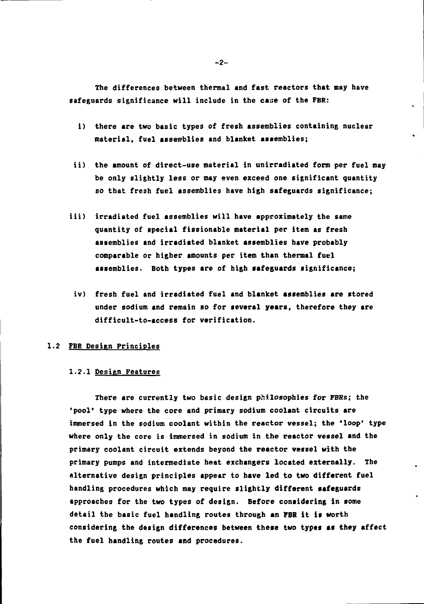**The differences between thermal and fast reactors that nay have** safeguards significance will include in the case of the FBR:

- **i) there are two basic types of fresh assemblies containing nuclear material, fuel assemblies and blanket assemblies;**
- **ii) the amount of direct-use material in unirradiated form per fuel may be only slightly less or may even exceed one significant quantity so that fresh fuel assemblies have high safeguards significance;**
- **iii) irradiated fuel assemblies will have approximately the same quantity of special fissionable material per item as fresh assemblies and irradiated blanket assemblies have probably comparable or higher amounts per item than thermal fuel assemblies. Both types are of high safeguards significance;**
	- **iv) fresh fuel and irradiated fuel and blanket assemblies are stored under sodium and remain so for several years, therefore they are difficult-to-access for verification.**

#### 1.2 FBR Design Principles

#### **1.2.1 Design Features**

There are currently two basic design philosophies for FBRs; the **'pool\* type where the core and primary sodium coolant circuits are immersed in the sodium coolant within the reactor vessel; the 'loop' type where only the core is immersed in sodium in the reactor vessel and the primary coolant circuit extends beyond the reactor vessel with the primary pumps and intermediate heat exchangers located externally. The alternative design principles appear to have led to two different fuel handling procedures which may require slightly different safeguards approaches for the two types of design. Before considering in some detail the basic fuel handling routes through an FBR it is worth considering the design differences between these two types as they affect the fuel handling routes and procedures.**

**-2-**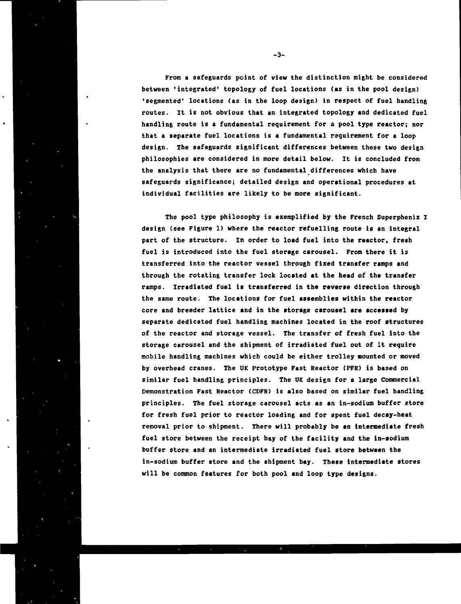**From a safeguards point of view the distinction might be considered between 'integrated' topology of fuel locations (as in the pool design) 'segmented' locations (as in the loop design) in respect of fuel handling routes. It is not obvious that an integrated topology and dedicated fuel handling route is a fundamental requirement for a pool type reactor; nor that a separate fuel locations is a fundamental requirement for a loop design. The safeguards significant differences between these two design philosophies are considered in more detail below. It is concluded from the analysis that there are no fundamental differences which have safeguards significance; detailed design and operational procedures at individual facilities are likely to be more significant.**

**The pool type philosophy is exemplified by the French Superpheniz I design (see Figure 1) where the reactor refuelling route is an integral part of the structure. In order to load fuel into the reactor, fresh fuel is introduced into the fuel storage carousel. From there it is transferred into the reactor vessel through fixed transfer ramps and through the rotating transfer lock located at the head of the transfer ramps. Irradiated fuel is transferred in the reverse direction through the same route. The locations for fuel assemblies within the reactor core and breeder lattice and in the storage carousel are accessed by separate dedicated fuel handling machines located in the roof structures of the reactor and storage vessel. The transfer of fresh fuel into the storage carousel and the shipment of irradiated fuel out of it require mobile handling machines which could be either trolley mounted or moved by overhead cranes. The UK Prototype Fast Reactor (PFR) is based on similar fuel handling principles. The UK design for a large Commercial Demonstration Fast Reactor (CDFR) is also based on similar fuel handling principles. The fuel storage carousel acts as an in-sodium buffer store for fresh fuel prior to reactor loading and for spent fuel decay-heat removal prior to shipment. There will probably be an intermediate fresh fuel store between the receipt bay of the facility and the in-sodium buffer store and an intermediate irradiated fuel store between the in-sodium buffer store and the shipment bay. These intermediate stores will be common features for both pool and loop type designs.**

**-3-**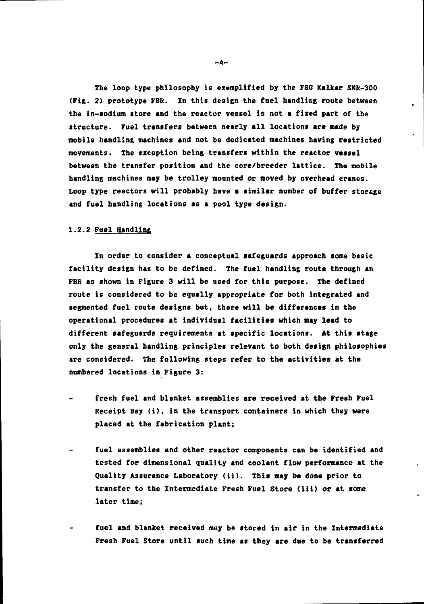The loop type philosophy is exemplified by the FRG Kalkar SNR-300 **(Fig. 2) prototype FBR. In this design the fuel handling route between the in-sodium store and the reactor vessel is not a fixed part of the •tructure. Fuel transfers between nearly all locations are made by mobile handling machines and not be dedicated machines having restricted movements. The exception being transfers within the reactor vessel between the transfer position and the core/breeder lattice. The mobile handling machines may be trolley mounted or moved by overhead cranes. Loop type reactors will probably have a similar number of buffer storage and fuel handling locations as a pool type design.**

#### **1.2.2 Fuel Handling**

**In order to consider a conceptual safeguards approach some basic facility design has to be defined. The fuel handling route through an FBR as shown in Figure 3 will be used for this purpose. The defined route is considered to be equally appropriate for both integrated and segmented fuel route designs but, there will be differences in the operational procedures at individual facilities which may lead to different safeguards requirements at specific locations. At this stage only the general handling principles relevant to both design philosophies are considered. The following steps refer to the activities at the numbered locations in Figure 3:**

- **fresh fuel and blanket assemblies are received at the Fresh Fuel Receipt Bay (i), in the transport containers in which they were placed at the fabrication plant;**
- **fuel assemblies and other reactor components can be identified and tested for dimensional quality and coolant flow performance at the Quality Assurance Laboratory (ii). This may be done prior to transfer to the Intermediate Fresh Fuel Store (iii) or at some later time;**
- **fuel and blanket received may be stored in air in the Intermediate Fresh Fuel Store until such time as they are due to be transferred**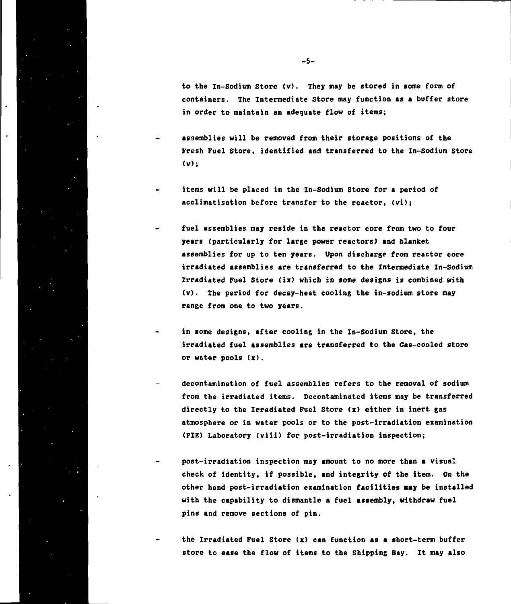**to the In-Sodium Store (v). They may be stored in some form of containers. The Intermediate Store may function as a buffer store in order to maintain an adequate flow of items;**

- **assemblies will be removed from their storage positions of the Fresh Fuel Store, identified and transferred to the In-Sodium Store**  $(v)$ :
- **items will be placed in the In-Sodium Store for a period of acclimatisation before transfer to the reactor, (vi);**
- **fuel assemblies may reside in the reactor core from two to four years (particularly for large power reactors) and blanket assemblies for up to ten years. Upon discharge from reactor core irradiated assemblies are transferred to the Intermediate In-Sodium Irradiated Fuel Store (ix> which in some designs is combined with (v). The period for decay-heat cooling the in-sodium store may range from one to two years.**
- **in some designs, after cooling in the In-Sodium store, the irradiated fuel assemblies are transferred to the Gas-cooled store or water pools (x).**
- **decontamination of fuel assemblies refers to the removal of sodium from the irradiated items. Decontaminated items may be transferred directly to the Irradiated Fuel Store (x) either in inert gas atmosphere or in water pools or to the post-irradiation examination (PIE) Laboratory (viii) for post-irradiation inspection;**
- **post-irradiation inspection may amount to no more than a visual check of identity, if possible, and integrity of the item. On the other hand post-irradiation examination facilities may be installed with the capability to dismantle a fuel assembly, withdraw fuel pins and remove sections of pin.**
- **the Irradiated Fuel Store (x) can function as a short-term buffer store to ease the flow of items to the Shipping Bay. It may also**

**-5-**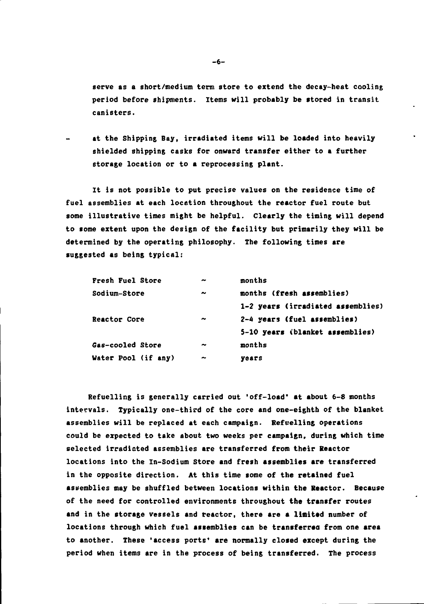**serve as a short/medium term store to extend the decay-heat cooling period before shipments. Items will probably be stored in transit canisters.**

**at the Shipping Bay, irradiated items will be loaded into heavily shielded shipping casks for onward transfer either to a further storage location or to a reprocessing plant.**

**It is not possible to put precise values on the residence time of fuel assemblies at each locetion throughout the reactor fuel route but some illustrative times might be helpful. Clearly the timing will depend to some extent upon the design of the facility but primarily they will be determined by the operating philosophy. The following times are suggested as being typical:**

| Fresh Fuel Store    | $\overline{\phantom{a}}$ | months                            |
|---------------------|--------------------------|-----------------------------------|
| Sodium-Store        | $\tilde{\phantom{a}}$    | months (fresh assemblies)         |
|                     |                          | 1-2 years (irradiated assemblies) |
| <b>Reactor Core</b> | $\tilde{\phantom{a}}$    | 2-4 years (fuel assemblies)       |
|                     |                          | 5-10 years (blanket assemblies)   |
| Gas-cooled Store    | $\tilde{\phantom{a}}$    | months                            |
| Water Pool (if any) | $\tilde{\phantom{a}}$    | years                             |

**Refuelling is generally carried out 'off-load' at about 6-8 months intervals. Typically one-third of the core and one-eighth of the blanket assemblies will be replaced at each campaign. Refuelling operations could be expected to take about two weeks per campaign, during which time selected irradiated assemblies are transferred from their Reactor locations into the In-Sodium Store and fresh assemblies are transferred in the opposite direction. At this time some of the retained fuel assemblies may be shuffled between locations within the Reactor. Because of the need for controlled environments throughout the transfer routes and in the storage vessels and reactor, there are a limited number of locations through which fuel assemblies can be transferred from one area to another. These 'access ports' are normally closed except during the period when items are in the process of being transferred. The process**

-6-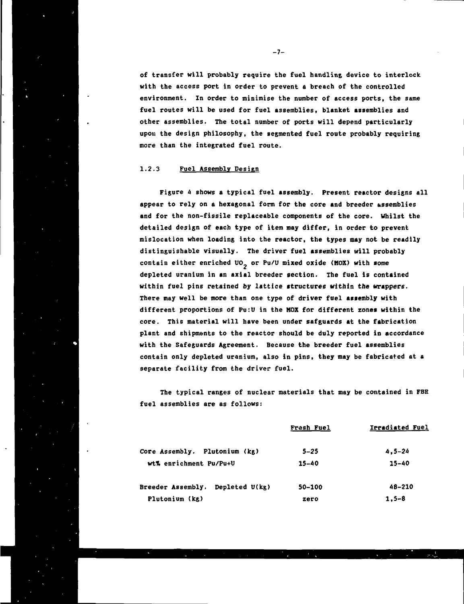**of transfer will probably require the fuel handling device to interlock, with the access port in order to prevent a breach of the controlled environment. In order to minimise the number of access ports, the same fuel routes will be used for fuel assemblies, blanket assemblies and other assemblies. The total number of ports will depend particularly upon the design philosophy, the segmented fuel route probably requiring more than the integrated fuel route.**

### **1.2.3 Fuel Assembly Design**

**Figure 4 shows a typical fuel assembly. Present reactor designs all appear to rely on a hexagonal form for the core and breeder assemblies and for the non-fissile replaceable components of the core. Whilst the detailed design of each type of item may differ, in order to prevent mi slocation when loading into the reactor, the types may not be readily distinguishable visually. The driver fuel assemblies will probably** contain either enriched UO<sub>2</sub> or Pu/U mixed oxide (MOX) with some **depleted uranium in an axial breeder section. The fuel is contained within fuel pins retained by lattice structures within the wrappers. There may well be more than one type of driver fuel assembly with different proportions of Pu:U in the MOX for different zones within the core. This material will have been under safguards at the fabrication plant and shipments to the reactor should be duly reported in accordance with the Safeguards Agreement. Because the breeder fuel assemblies contain only depleted uranium, also in pins, they may be fabricated at a separate facility from the driver fuel.**

**The typical ranges of nuclear materials that may be contained in FBR fuel assemblies are as follows:**

|                                     | Fresh Fuel | Irradiated Fuel |
|-------------------------------------|------------|-----------------|
| Core Assembly. Plutonium (kg)       | $5 - 25$   | $4.5 - 24$      |
| wt% enrichment Pu/Pu+U              | 15-40      | $15 - 40$       |
| Depleted U(kg)<br>Breeder Assembly. | 50-100     | 48-210          |
| Plutonium (kg)                      | zero       | $1.5 - 8$       |

**-7-**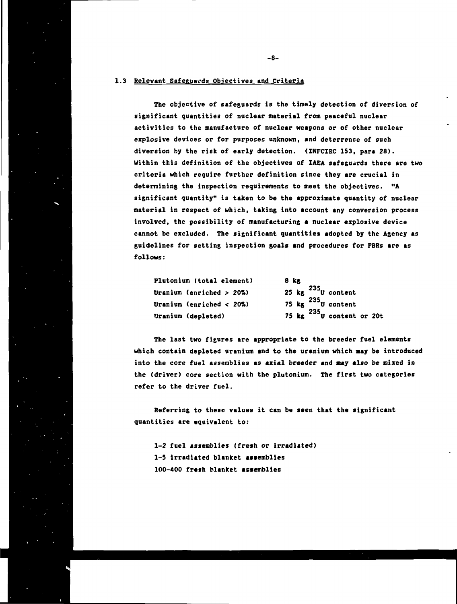## **1.3 Relevant Safeguards Objectives and Criteria**

**The objective of safeguards is the timely detection of diversion of significant quantities of nuclear material from peaceful nuclear activities to the manufacture of nuclear weapons or of other nuclear explosive devices or for purposes unknown, and deterrence of such diversion by the risk of early detection. (INFCIRC 153, para 28). Within this definition of the objectives of IAEA safeguards there are two criteria which require further definition since they are crucial in determining the inspection requirements to meet the objectives. "A significant quantity" is taken to be the approximate quantity of nuclear material in respect of which, taking into account any conversion process involved, the possibility of manufacturing a nuclear explosive device cannot be excluded. The significant quantities adopted by the Agency as guidelines for setting inspection goals and procedures for FBRs are as follows:**

| Plutonium (total element)    | 8 kg                              |  |  |  |
|------------------------------|-----------------------------------|--|--|--|
| Uranium (enriched $>20\%$ )  | 25 kg $^{235}$ U content          |  |  |  |
| Uranium (enriched < $20\%$ ) | 75 $\text{kg}$ $^{235}$ U content |  |  |  |
| Uranium (depleted)           | 75 kg $^{235}$ U content or 20t   |  |  |  |

**The last two figures are appropriate to the breeder fuel elements which contain depleted uranium and to the uranium which may be introduced** into the core fuel assemblies as axial breeder and may also be mixed in **the (driver) core section with the plutonium. The first two categories refer to the driver fuel.**

**Referring to these values it can be seen that the significant quantities are equivalent to:**

**1-2 fuel assemblies (fresh or irradiated) 1-5 irradiated blanket assemblies 100-400 fresh blanket assemblies**

**-8-**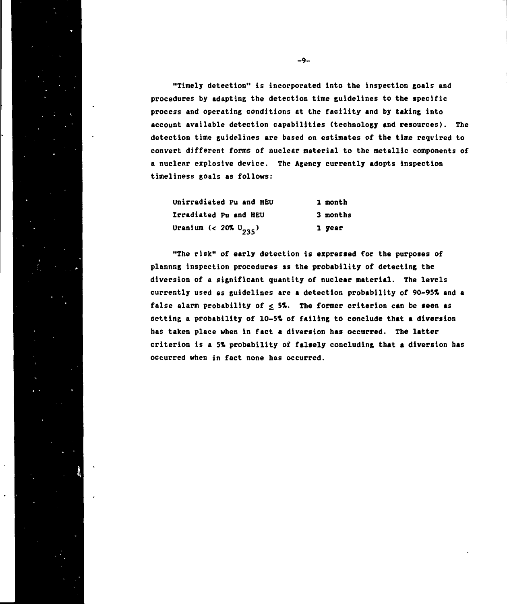**"Timely detection" is incorporated into the inspection goals and procedures by adapting the detection time guidelines to the specific process and operating conditions at the facility and by taking into account available detection capabilities (technology and resources). The detection time guidelines are based on estimates of the time required to convert different forms of nuclear material to the metallic components of a nuclear explosive device. The Agency currently adopts inspection timeliness goals as follows:**

| <b>Unirradiated Pu and HEU</b>    | 1 month  |
|-----------------------------------|----------|
| Irradiated Pu and HEU             | 3 months |
| Uranium (< 20% U <sub>235</sub> ) | 1 year   |

**"The risk" of early detection is expressed for the purposes of plannng inspection procedures as the probability of detecting the diversion of a significant quantity of nuclear material. The levels currently used as guidelines are a detection probability of 90-95% and a** false alarm probability of  $\leq$  5%. The former criterion can be seen as **setting a probability of 10-5% of failing to conclude that a diversion has taken place when in fact a diversion has occurred. The latter criterion is a 5% probability of falsely concluding that a diversion has occurred when in fact none has occurred.**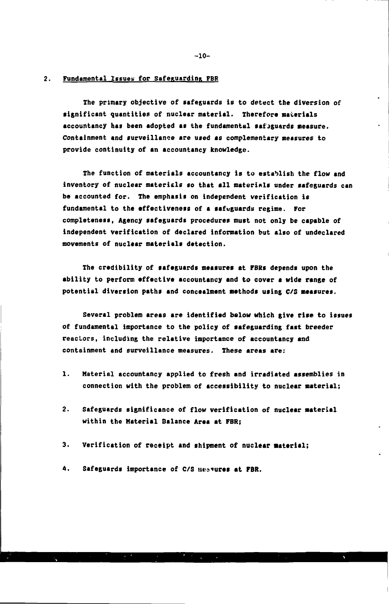#### **2. Fundamental Issues for Safeguarding FBR**

**The primary objective of safeguards is to detect the diversion of significant quantities of nuclear material. Therefore materials accountancy has been adopted as the fundamental safeguards neasure. Containment and surveillance are used es complementary measures to provide continuity of an accountancy knowledge.**

**The function of materials accountancy is to establish the flow and inventory of nuclear materials so that all materials under safeguards can be accounted for. The emphasis on independent verification is fundamental to the effectiveness of a safeguards regime. For completeness, Agency safeguards procedures must not only be capable of independent verification of declared information but also of undeclared movements of nuclear materials detection.**

**The credibility of safeguards measures at FBRs depends upon the ability to perform effective accountancy and to cover a wide range of potential diversion paths and concealment methods using C/S measures.**

**Several problem areas are identified below which give rise to issues of fundamental importance to the policy of safeguarding fast breeder reactors, including the relative importance of accountancy and containment and surveillance measures. These areas are:**

- **1. Material accountancy applied to fresh and irradiated assemblies in connection with the problem of accessibility to nuclear material;**
- **2. Safeguards significance of flow verification of nuclear material within the Material Balance Area at FBR;**
- 3. Verification of receipt and shipment of nuclear material;
- 4. Safeguards importance of C/S westures at FBR.

**-10-**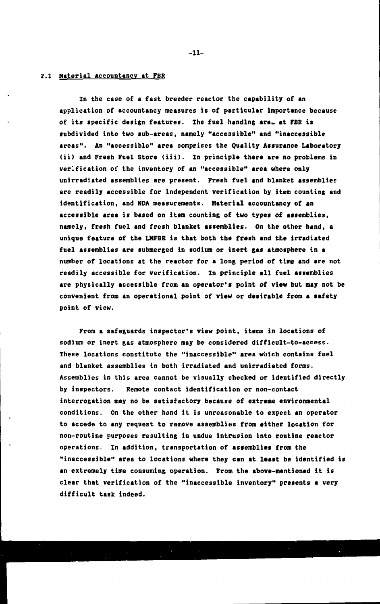## **2.1 Material Accountancy at FBR**

**In the case of a fast breeder reactor the capability of an application of accountancy measures is of particular importance because** of its specific design features. The fuel handlng are at FBR is **subdivided into two sub-areas, namely "accessible" and "inaccessible areas". An "accessible" area comprises the Quality Assurance Laboratory (ii) and Fresh Fuel Store (iii). In principle there are no problems in verification of the inventory of an "accessible" area where only unirradiated assemblies are present. Fresh fuel and blanket assemblies are readily accessible for independent verification by item counting and identification, and NDA measurements. Material accountancy of an accessible area is based on item counting of two types of assemblies, namely, fresh fuel and fresh blanket assemblies. On the other hand, a unique feature of the LMFBR is that both the fresh and the irradiated** fuel assemblies are submerged in sodium or inert gas atmosphere in a **number of locations at the reactor for a long period of time and are not readily accessible for verification. In principle all fuel assemblies are physically accessible from an operator's point of view but nay not be convenient from an operational point of view or desirable from a safety point of view.**

**From a safeguards inspector's view point, items in locations of sodium or inert gas atmosphere may be considered difficult-to-access. These locations constitute the "inaccessible" area which contains fuel and blanket assemblies in both irradiated and unirradiated forms. Assemblies in this area cannot be visually checked or identified directly by inspectors. Remote contact identification or non-contact interrogation may no be satisfactory because of extreme environmental conditions. On the other hand it is unreasonable to expect an operator to accede to any request to remove assemblies from either location for non-routine purposes resulting in undue intrusion into routine reactor operations. In addition, transportation of assemblies from the "inaccessible" area to locations where they can at least be identified is an extremely time consuming operation. From the above-mentioned it is clear that verification of the "inaccessible inventory" presents a very difficult task indeed.**

**-11-**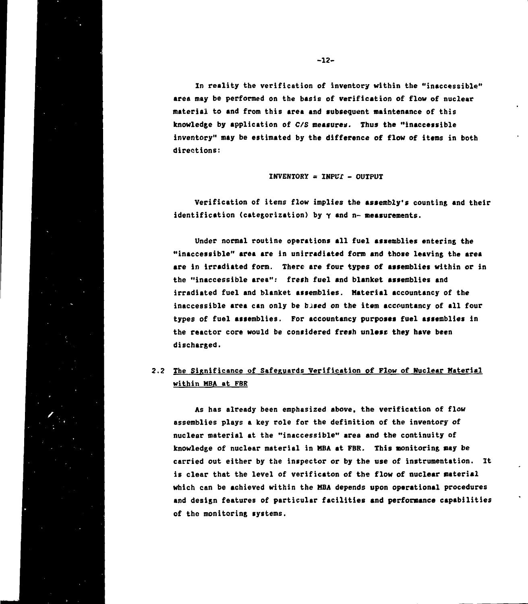**In reality the verification of inventory within the "inaccessible" area may be performed on the basis of verification of flow of nuclear material to and from this area and subsequent maintenance of this knowledge by application of C/S measures. Thus the "inaccessible inventory" may be estimated by the difference of flow of items in both directions:**

#### **INVENTORY = INPUT - OUTPUT**

**Verification of items flow implies the assembly's counting and their identification (categorization) by y and n- measurements.**

**Under normal routine operations all fuel assemblies entering the "Inaccessible" area are in unirradiated form and those leaving the area are in irradiated form. There ere four types of assemblies within or in the "inaccessible area": fresh fuel and blanket assemblies and irradiated fuel and blanket assemblies. Material accountancy of the inaccessible area can only be based on the item accountancy of all four types of fuel assemblies. For accountancy purposes fuel assemblies in the reactor core would be considered fresh unlese they have been** discharted.

# **2.2 The Significance of Safeguards Verification of Flow of Nuclear Material within MBA at FBR**

**As has already been emphasized above, the verification of flow assemblies plays a key role for the definition of the inventory of nuclear material at the "inaccessible" area and the continuity of knowledge of nuclear material in MBA at FBR. This monitoring may be carried out either by the inspector or by the use of instrumentation. It is clear that the level of verificaton of the flow of nuclear material which can be achieved within the MBA depends upon operational procedures and design features of particular facilities and performance capabilities of the monitoring systems.**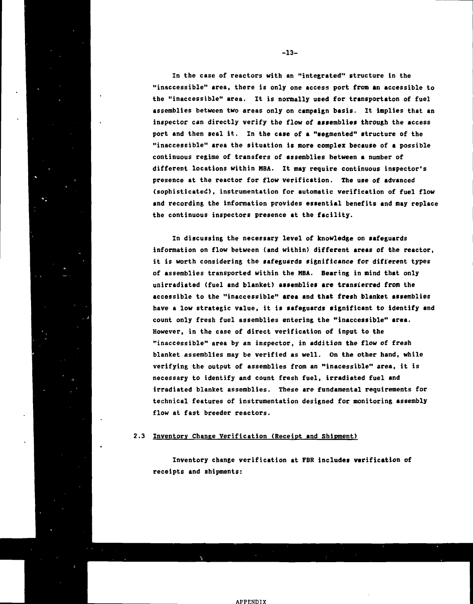**In the case of reactors with an "integrated" structure in the "inaccessible" area, there is only one access port from an accessible to** the "inaccessible" area. It is normally used for transportaton of fuel **assemblies between two areas only on campaign basis. It implies that an inspector can directly verify the flow of assemblies through the access port and then seal it. In the case of a "segmented" structure of the "inaccessible" area the situation is more complex because of a possible continuous regime of transfers of assemblies between a number of different locations within MBA. It may require continuous inspector's presence at the reactor for flow verification. The use of advanced (sophisticated), instrumentation for automatic verification of fuel flow and recording the information provides essential benefits and may replace the continuous inspectors presence at the facility.**

**In discussing the necessary level of knowledge on safeguards information on flow between (and within) different areas of the reactor, it is worth considering the safeguards significance for different types of assemblies transported within the MBA. Bearing in mind that only unirradiated (fuel and blanket) assemblies are transferred from the accessible to the "inaccessible" area and that fresh blanket assemblies have a low strategic value, it is safeguards significant to identify and count only fresh fuel assemblies entering the "inaccessible" area. However, in the case of direct verification of input to the "inaccessible" area by an inspector, in addition the flow of fresh blanket assemblies may be verified as well. On the other hand, while verifying the output of assemblies from an "inacessible" area, it is necessary to identify and count fresh fuel, irradiated fuel and irradiated blanket assemblies. These are fundamental requirements for technical features of instrumentation designed for monitoring assembly flow at fast breeder reactors.**

## **2.3 Inventory Change Verification (Receipt and Shipment)**

**Inventory change verification at FBR includes verification of receipts and shipments:**

**-13-**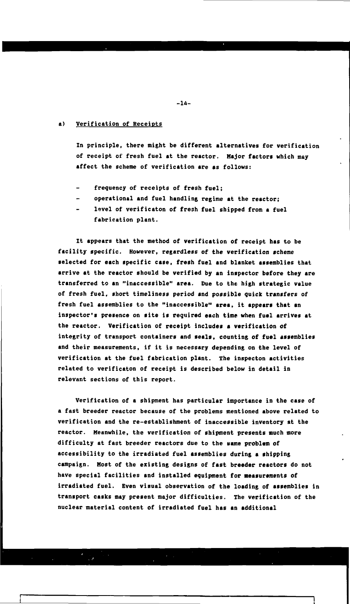# **a) Verification of Receipts**

**In principle, there might be different alternatives for verification of receipt of fresh fuel at the reactor. Major factors which nay affect the scheme of verification are as follows:**

- **frequency of receipts of fresh fuel;**
- **operational and fuel handling regime at the reactor;**
- **level of verificaton of fresh fuel shipped from a fuel fabrication plant.**

**It appears that the method of verification of receipt has to be facility specific. However, regardless of the verification scheme selected for each specific case, fresh fuel and blanket assemblies that arrive at the reactor should be verified by an inspector before they are transferred to an "inaccessible" area. Due to the high strategic value of fresh fuel, short timeliness period and possible quick transfers of fresh fuel assemblies to the "inaccessible" area, it appears that an inspector's presence on site is required each time when fuel arrives at the reactor. Verification of receipt includes a verification of integrity of transport containers and seals, counting of fuel assemblies and their measurements, if it is necessary depending on the level of verification at the fuel fabrication plant. The inspecton activities related to verificaton of receipt is described below in detail in relevant sections of this report.**

**Verification of a shipment has particular importance in the case of a fast breeder reactor because of the problems mentioned above related to verification and the re-establishment of inaccessible inventory at the reactor. Meanwhile, the verification of shipment presents much more** difficulty at fast breeder reactors due to the same problem of **accessibility to the irradiated fuel assemblies during a shipping campaign. Most of the existing designs of fast breeder reactors do not have special facilities and installed equipment for measurements of irradiated fuel. Even visual observation of the loading of assemblies in transport casks may present major difficulties. The verification of the nuclear material content of irradiated fuel has an additional**

**-14-**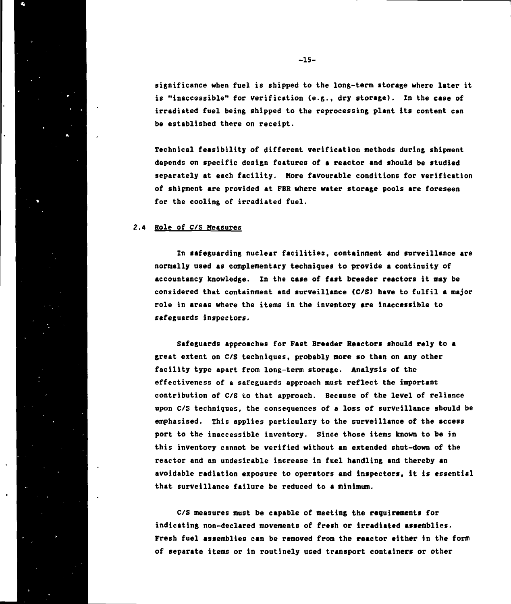**significance when fuel is shipped to the long-term storage where later it is "inaccessible" for verification (e.g., dry storage). In the case of irradiated fuel being shipped to the reprocessing plant its content can be established there on receipt.**

**Technical feasibility of different verification methods during shipment depends on specific design features of a reactor and should be studied separately at each facility. More favourable conditions for verification of shipment are provided at FBR where water storage pools are foreseen for the cooling of irradiated fuel.**

#### **2.4 Role of C/S Measures**

**In safeguarding nuclear facilities, containment and surveillance are normally used as complementary techniques to provide a continuity of accountancy knowledge. In the case of fast breeder reactors it may be considered that containment and surveillance (C/S) have to fulfil a major role in areas where the items in the inventory are inaccessible to safeguards inspectors.**

**Safeguards approaches for Fast Breeder Reactors should rely to a great extent on C/S techniques, probably more so than on any other facility type apart from long-term storage. Analysis of the effectiveness of a safeguards approach must reflect the important contribution of C/S to that approach. Because of the level of reliance upon C/S techniques, the consequences of a loss of surveillance should be emphasised. This applies particulary to the surveillance of the access port to the inaccessible inventory. Since those items known to be in this inventory cannot be verified without an extended shut-down of the reactor and an undesirable increase in fuel handling and thereby an avoidable radiation exposure to operators and inspectors, it is essential that surveillance failure be reduced to a minimum.**

**C/S measures must be capable of meeting the requirements for indicating non-declared movements of fresh or irradiated assemblies. Fresh fuel assemblies can be removed from the reactor either in the form of separate items or in routinely used transport containers or other**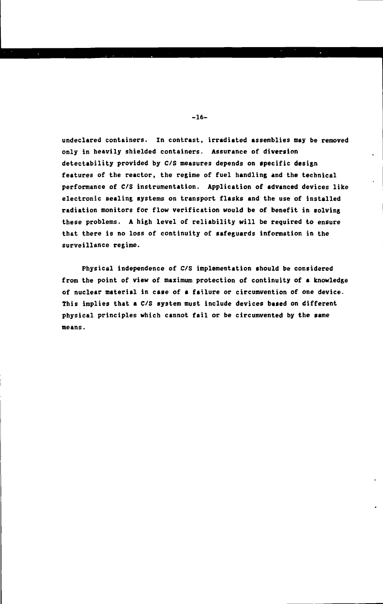**undeclared containers. In contrast, irradiated assemblies may be removed only in heavily shielded containers. Assurance of diversion detectability provided by C/S measures depends on specific design features of the reactor, the regime of fuel handling and the technical performance of C/S instrumentation. Application of advanced devices like electronic sealing systems on transport flasks and the use of installed radiation monitors for flow verification would be of benefit in solving these problems. A high level of reliability will be required to ensure that there is no loss of continuity of safeguards information in the surveillance regime.**

**Physical independence of C/S implementation should be considered from the point of view of maximum protection of continuity of a knowledge of nuclear material in case of a failure or circumvention of one device. This implies that a C/S system must include devices based on different physical principles which cannot fail or be circumvented by the same means.**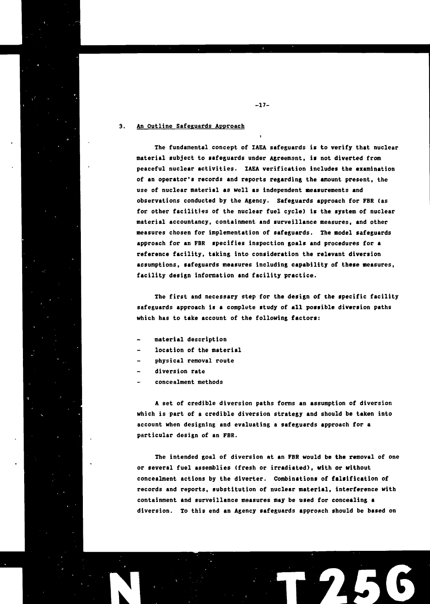# **3. An Outline Safeguards Approach**

**The fundamental concept of IAEA safeguards is to verify that nuclear material subject to safeguards under Agreement, it not diverted from peaceful nuclear activities. IAEA verification includes the examination of an operator's records and reports regarding the amount present, the use of nuclear material as well as independent measurements and observations conducted by the Agency. Safeguards approach for FBR (as for other facilities of the nuclear fuel cycle) is the system of nuclear material accountancy, containment and surveillance measures, and other measures chosen for implementation of safeguards. The model safeguards approach for an FBR specifies inspection goals and procedures for a reference facility, taking into consideration the relevant diversion assumptions, safeguards measures including capability of these measures, facility design information and facility practice.**

**The first and necessary step for the design of the specific facility safeguards approach is a complete study of «11 possible diversion paths which has to take account of the following factors:**

- **material description**
- **location of the material**
- **physical removal route**
- **diversion rate**
- **concealment methods**

**A set of credible diversion paths forms an assumption of diversion which is part of a credible diversion strategy and should be taken into account when designing and evaluating a safeguards approach for a particular design of an FBR.**

**The intended goal of diversion at an FBR would be the removal of one or several fuel assemblies (fresh or irradiated), with or without concealment actions by the diverter. Combinations of falsification of records and reports, substitution of nuclear material, interference with containment and surveillance measures may be used for concealing a diversion. To this end an Agency safeguards approach should be based on**

**T256**

**-17-**

i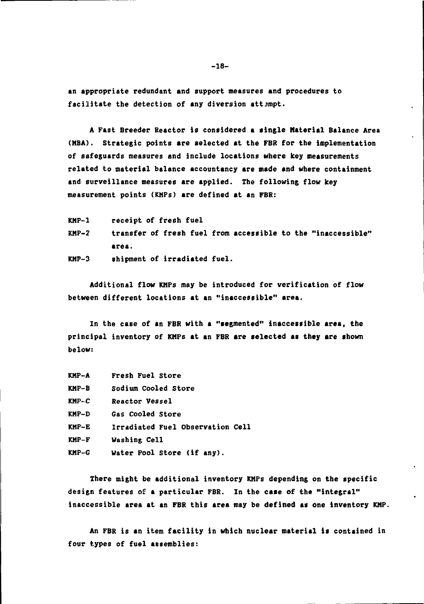**an appropriate redundant and support measures and procedures to** facilitate the detection of any diversion attempt.

**A Fast Breeder Reactor is considered a single Material Balance Area (MBA). Strategic points are selected at the FBR for the implementation of safeguards measures and include locations where key measurements related to material balance accountancy are made and where containment and surveillance measures are applied. The following flow key measurement points (KMPs) are defined at an FBR:**

**KMP-1 receipt of fresh fuel KMP-2 transfer of fresh fuel from accessible to the "inaccessible" area. KMP-3 shipment of irradiated fuel.**

**Additional flow KMPs may be introduced for verification of flow between different locations at an "inaccessible" area.**

**In the case of an FBR with a "segmented" inaccessible area, the principal inventory of KMPs at an FBR are selected as they are shown below:**

| KMP-A | Fresh Fuel Store                 |
|-------|----------------------------------|
| KMP-B | Sodium Cooled Store              |
| KMP-C | Reactor Vessel                   |
| KMP-D | Gas Cooled Store                 |
| KMP-E | Irradiated Fuel Observation Cell |
| KMP-F | Washing Cell                     |
| KMP-G | Water Pool Store (if any).       |

**There might be additional inventory KMPs depending on the specific design features of a particular FBR. In the case of the "integral" inaccessible area at an FBR this area may be defined as one inventory KMP.**

**An FBR is an item facility in which nuclear material is contained in four types of fuel assemblies:**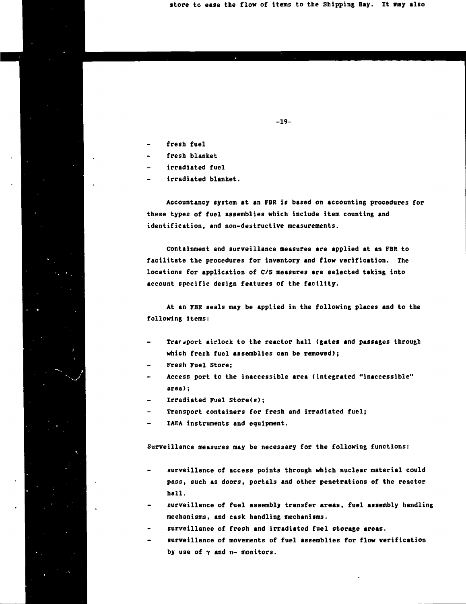**store tc ease the flow of items to the Shipping Bay. It may also**

- **fresh fuel**
- **fresh blanket**
- **irradiated fuel**
- **irradiated blanket.**

**Accountancy system at an FBR is based on accounting procedures for these types of fuel assemblies which include item counting and identification, and non-destructive measurements.**

**-19-**

**Containment and surveillance measures are applied at an FBR to facilitate the procedures for inventory and flow verification. The locations for application of C/S measures are selected taking into account specific design features of the facility.**

**At an FBR seals may be applied in the following places and to the following items:**

- **Trarjport airlock to the reactor hall (gates and passages through which fresh fuel assemblies can be removed);**
- **Fresh Fuel Store;**
- **Access port to the inaccessible area (integrated "inaccessible" area) ;**
- **Irradiated Fuel Store(s);**
- **Transport containers for fresh and irradiated fuel;**
- **IAEA instruments and equipment.**

**Surveillance measures may be necessary for the following functions:**

- **surveillance of access points through which nuclear material could pass, such as doors, portals and other penetrations of the reactor hall.**
- **surveillance of fuel assembly transfer areas, fuel assembly handling mechanisms, and cask handling mechanisms.**
- **surveillance of fresh and irradiated fuel storage areas.**
- **surveillance of movements of fuel assemblies for flow verification** by use of  $\gamma$  and n- monitors.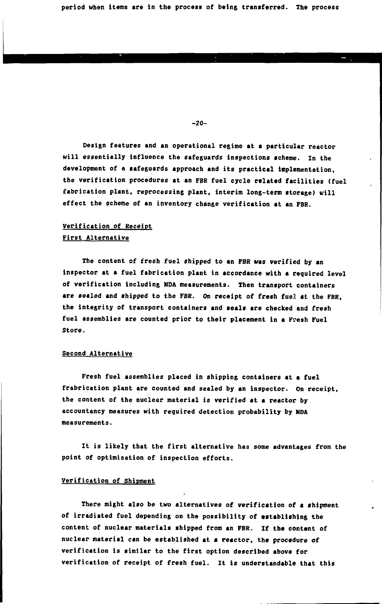**period when items are in the process of being transferred. The process**

**-20-**

**Design features and an operational regime at a particular reactor will essentially influence the safeguards inspections scheme. In the development of n safeguards approach and its practical implementation, the verification procedures at an FBR fuel cycle related facilities (fuel fabrication plant, reprocessing plant, interim long-term storage) will effect the scheme of an inventory change verification at an FBR.**

# **Verification of Receipt First Alternative**

**The content of fresh fuel shipped to an FBR was verified by an inspector at a fuel fabrication plant in accordance with a required level of verification including NDA measurements. Then transport containers are sealed and shipped to the FBR. On receipt of fresh fuel at the FBR, the integrity of transport containers and seals are checked and fresh fuel assemblies are counted prior to their placement in a F?esh Fuel Store.**

# **Second Alternative**

**Fresh fuel assemblies placed in shipping containers at a fuel frabrication plant are counted and sealed by an inspector. On receipt, the content of the nuclear material is verified at a reactor by accountancy measures with required detection probability by NDA measurements.**

**It is likely that the first alternative has some advantages from the point of optimisation of inspection efforts.**

#### **Verification of Shipment**

**There might also be two alternatives of verification of a shipment of irradiated fuel depending on the possibility of establishing the content of nuclear materials shipped from an FBR. If the content of nuclear material can be established at a reactor, the procedure of verification is similar to the first option described above for verification of receipt of fresh fuel. It is understandable that this**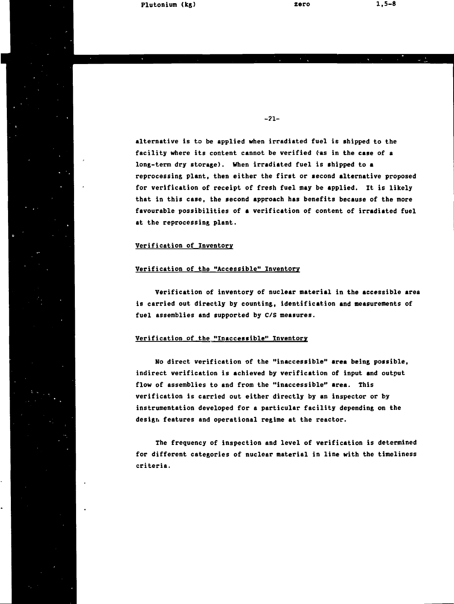**Plutonium (kg)**

**-21-**

**alternative is to be applied when irradiated fuel is shipped to the facility where its content cannot be verified (as in the case of a long-term dry storage). When irradiated fuel is shipped to a reprocessing plant, then either the first or second alternative proposed for verification of receipt of fresh fuel may be applied. It is likely that in this case, the second approach has benefits because of the more favourable possibilities of a verification of content of irradiated fuel at the reprocessing plant.**

## **Verification of Inventory**

### **Verification of the "Accessible" Inventory**

**Verification of inventory of nuclear material in the accessible area is carried out directly by counting, identification and measurements of fuel assemblies and supported by C/S measures.**

#### **Verification of the "Inaccessible" Inventory**

**No direct verification of the "inaccessible" area being possible, indirect verification is achieved by verification of input and output flow of assemblies to and from the "inaccessible" area. This verification is carried out either directly by an inspector or by instrumentation developed for a particular facility depending on the design features and operational regime at the reactor.**

**The frequency of inspection and level of verification is determined for different categories of nuclear material in line with the timeliness criteria.**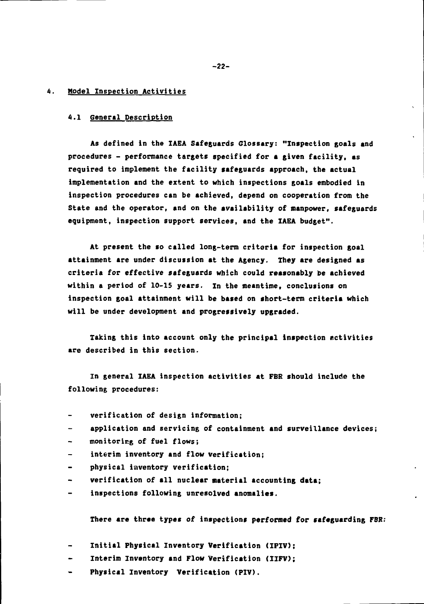#### **4. Model Inspection Activities**

#### **4.1 General Description**

**As defined in the IAEA Safeguards Glossary: "Inspection goals and procedures - performance targets specified for a given facility, as required to implement the facility safeguards approach, the actual implementation and the extent to which inspections goals embodied in inspection procedures can be achieved, depend on cooperation from the State and the operator, and on the availability of manpower, safeguards equipment, inspection support services, and the IAEA budget".**

**At present the so called long-term criteria for inspection goal attainment are under discussion at the Agency. They are designed as criteria for effective safeguards which could reasonably be achieved within a period of 10-15 years. In the meantime, conclusions on inspection goal attainment will be based on short-term criteria which will be under development and progressively upgraded.**

**Taking this into account only the principal inspection Activities are described in this section.**

**In general IAEA inspection activities at FBR should include the following procedures:**

- **verification of design information;**
- **application and servicing of containment and surveillance devices;**
- **monitoring of fuel flows;**
- **interim inventory and flow verification;**
- **physical inventory verification;**
- **verification of all nuclear material accounting data;**
- **inspections following unresolved anomalies.**

**There are three types of inspections performed for safeguarding FBR:**

- **Initial Physical Inventory Verification (IPIV);**
- **Interim Inventory and Flow Verification (IIFV);**
- **Physical Inventory Verification (PIV).**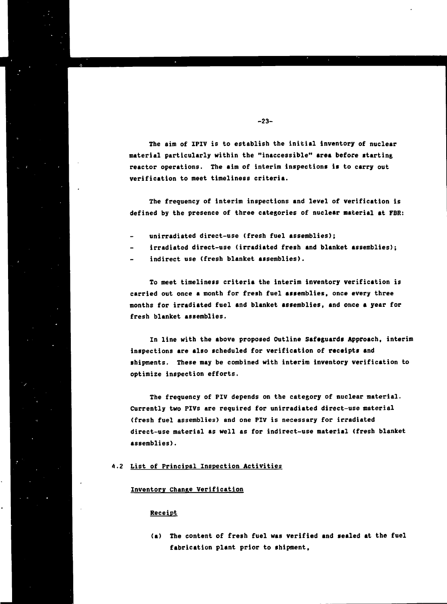**The aim of IPIV is to establish the initial inventory of nuclear material particularly within the "inaccessible" area before starting reactor operations. The aim of interim inspections is to carry out verification to meet timeliness criteria.**

**The frequency of interim inspections and level of verification is defined by the presence of three catégories of nuclear material at FBR:**

- **unirradiated direct-use (fresh fuel assemblies);**
- **irradiated direct-use (irradiated fresh and blanket assemblies);**
- **indirect use (fresh blanket assemblies).**

**To meet timeliness criteria the interim inventory verification is carried out once a month for fresh fuel assemblies, once every three months for irradiated fuel and blanket assemblies, and once a year for fresh blanket assemblies.**

**In line with the above proposed Outline Safeguards Approach, interim inspections are also scheduled for verification of receipts and shipments. These may be combined with interim inventory verification to optimize inspection efforts.**

**The frequency of PIV depends on the category of nuclear material. Currently two PIVs are required for unirradiated direct-use material (fresh fuel assemblies) and one PIV is necessary for irradiated direct-use material as well as for indirect-use material (fresh blanket assemblies).**

# **4.2 List of Principal Inspection Activities**

#### **Inventory Change Verification**

## **Receipt**

**(a) The content of fresh fuel was verified and sealed at the fuel fabrication plant prior to shipment,**

## **-23-**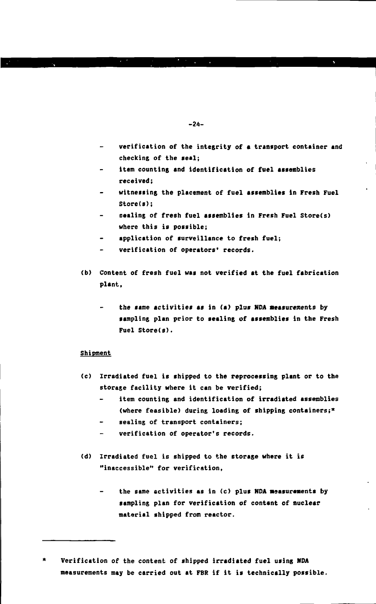- **verification of the integrity of a transport container and checking of the seal;**
- **item counting and identification of fuel assemblies received;**
- **witnessing the placement of fuel assemblies in Fresh Fuel Store(s);**
- **sealing of fresh fuel assemblies in Fresh Fuel Store(s) where this is possible;**
- **application of surveillance to fresh fuel;**
- **verification of operators' records.**
- **(b) Content of fresh fuel was not verified at the fuel fabrication plant,**
	- **the same activities as in (a) plus NDA aeasurements by sampling plan prior to sealing of assemblies in the Fresh Fuel Store(s).**

## **Shipment**

- **(c) Irradiated fuel is shipped to the reprocessing plant or to the storage facility where it can be verified;**
	- **item counting and identification of irradiated assemblies (where feasible) during loading of shipping containers;\***
	- **sealing of transport containers;**
	- **verification of operator's records.**
- **(d) Irradiated fuel is shipped to the storage where it is "inaccessible" for verification,**
	- the same activities as in (c) plus NDA measurements by **sampling plan for verification of contant of nuclear material shipped from reactor.**

 $\pmb{\times}$ **Verification of the content of shipped irradiated fuel using NDA measurements may be carried out at FBR if it is technically possible.**

**-24-**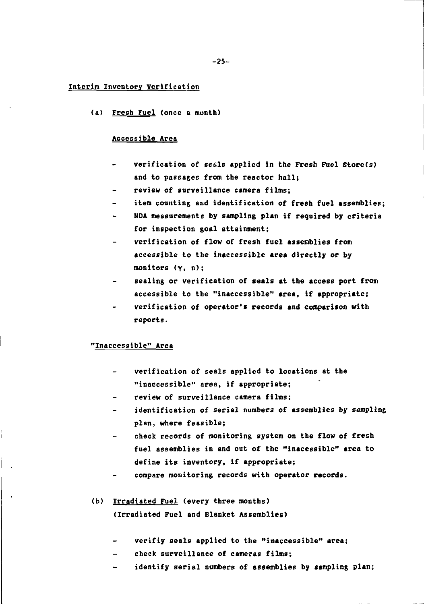## **Interim Inventory Verification**

**(a) Fresh Fuel (once a month)**

#### **Accessible Area**

- **verification of seals applied in the Fresh Fuel Store(s) and to passages from the reactor hall;**
- **review of surveillance camera films;**
- **item counting and identification of fresh fuel assemblies;**
- **NDA measurements by sampling plan if required by criteria for inspection goal attainment;**
- **verification of flow of fresh fuel assemblies from accessible to the inaccessible area directly or by monitors (y. n);**
- **sealing or verification of seals at the access port from accessible to the "inaccessible" area, if appropriate;**
- **verification of operator's records and comparison with reports.**

## **"Inaccessible" Area**

- **verification of seals applied to locations at the "inaccessible" area, if appropriate;**
- **review of surveillance camera films;**
- **identification of serial numbers of assemblies by sampling plan, where feasible;**
- **check records of monitoring system on the flow of fresh fuel assemblies in and out of the "inacessible" area to define its inventory, if appropriate;**
- **compare monitoring records with operator records.**
- **<b) Irradiated Fuel (every three months) (Irradiated Fuel and Blanket Assemblies)**
	- **verifiy seals applied to the "inaccessible" area;**
	- **check surveillance of cameras films;**  $\blacksquare$
	- **identify serial numbers of assemblies by sampling plan;**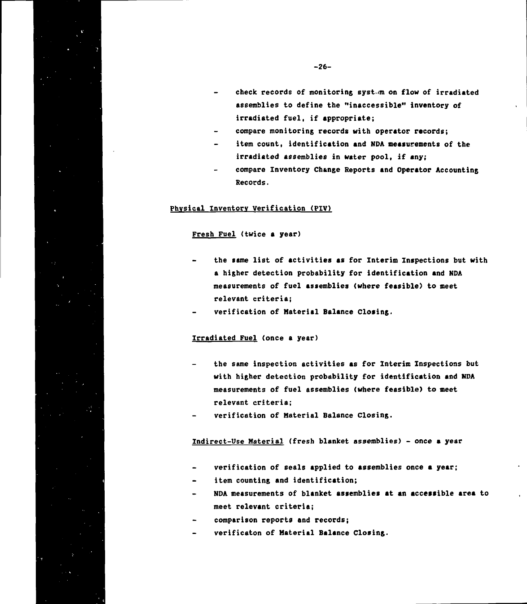- **compare monitoring records with operator records;**
- **item count, identification and NDA measurements of the irradiated assemblies in water pool, if any;**
- **compare Inventory Chanee Reports and Operator Accountins** Records.

## Physical Inventory Verification (PIV)

#### Fresh Fuel (twice a year)

- **the same list of activities as for Interim Inspections but with a higher detection probability for identification and NDA measurements of fuel assemblies (where feasible) to meet relevant criteria;**
- **verification of Material Balance Closing.**

# **Irradiated Fuel (once a year)**

- **the same inspection activities as for Interim Inspections but with higher detection probability for identification and NDA measurements of fuel assemblies (where feasible) to meet relevant criteria;**
- **verification of Material Balance Closing.**

**Indirect-Use Material (fresh blanket assemblies) - once a year**

- **verification of seals applied to assemblies once a year;**
- **item counting and identification;**  $\sim$
- **NDA measurements of blanket assemblies at an accessible area to meet relevant criteria;**
- **comparison reports and records;**
- **verificaton of Material Balance Closing.**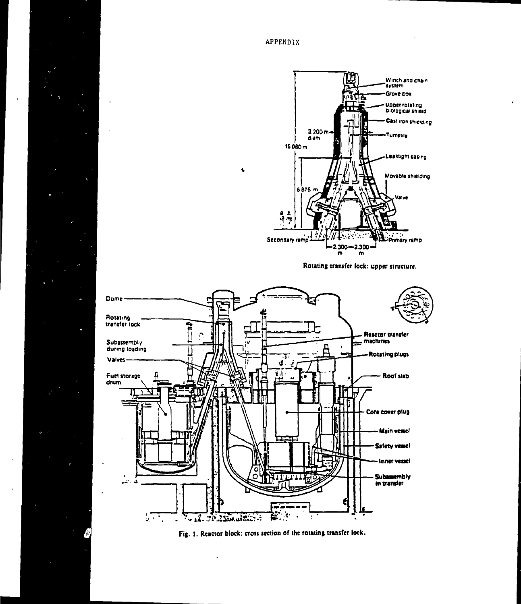



**Fig. I. Reactor block: crosi section of the rotating transfer lock.**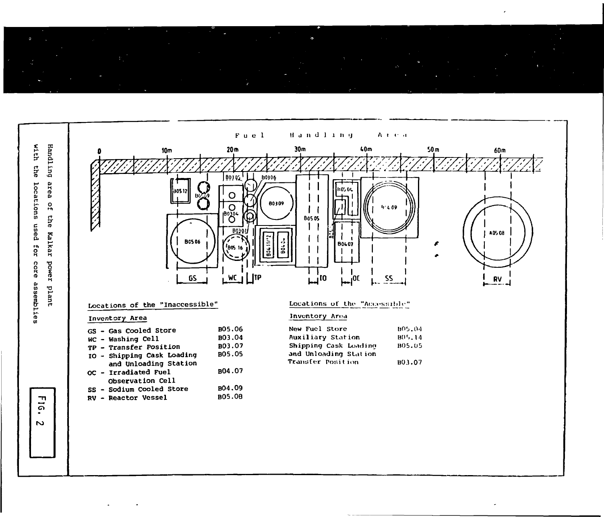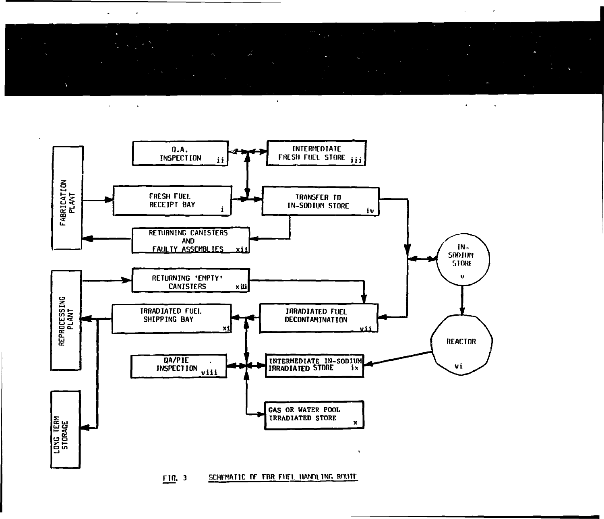$\bullet$ 



SCHEMATIC OF FBR FUEL HANDLING ROUTE F10. 3